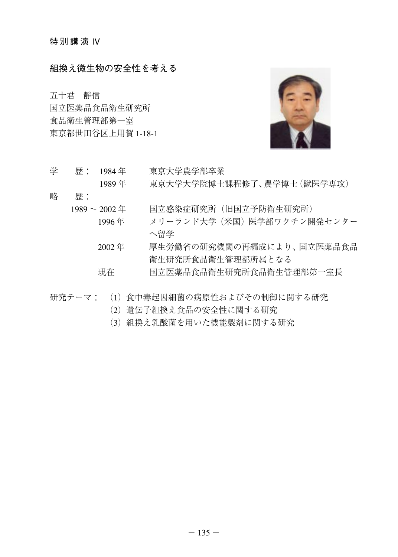組換え微生物の安全性を考える

五十君 靜信 国立医薬品食品衛生研究所 食品衛生管理部第一室 東京都世田谷区上用賀 1-18-1



学 歴: 1984年 東京大学農学部卒業

1989 年 東京大学大学院博士課程修了、農学博士(獣医学専攻)

- 略 歴:
	- 1989 ~ 2002 年 国立感染症研究所(旧国立予防衛生研究所)
		- 1996年 メリーランド大学(米国)医学部ワクチン開発センター へ留学
			- 2002 年 厚生労働省の研究機関の再編成により、国立医薬品食品 衛生研究所食品衛生管理部所属となる 現在 国立医薬品食品衛生研究所食品衛生管理部第一室長
- 研究テーマ: (1) 食中毒起因細菌の病原性およびその制御に関する研究
	- (2)遺伝子組換え食品の安全性に関する研究
	- (3)組換え乳酸菌を用いた機能製剤に関する研究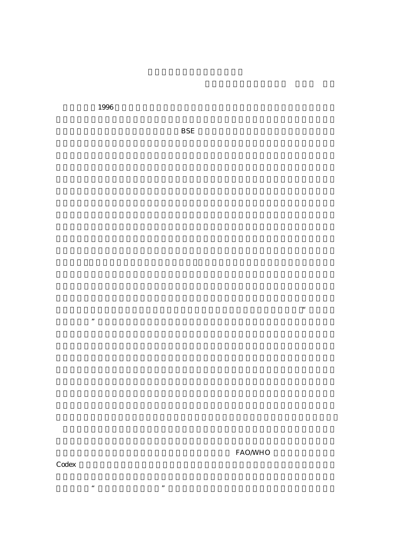$1996$ 

 $\overline{BSE}$ 

 $\ddot{\alpha}$  $\mathcal{D}$ 

 $\alpha$  the contract  $\alpha$  extended to the system of  $\alpha$ 

Codex the contract of the contract of the contract of the contract of the contract of the contract of the contract of the contract of the contract of the contract of the contract of the contract of the contract of the cont

FAO/WHO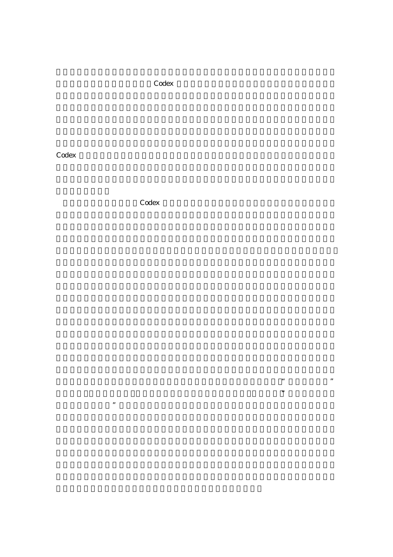## $\mathbf C$ odex  $\mathbf C$

Codex のガイドラインを取り入れ書き直された。草案時に、これまでの安全性審査におけ

 $\text{Codex}$ 

 $\ddot{\hspace{1.5cm}}$ 

 $\alpha$  and the set of the set of the set of the set of the set of the set of the set of the set of the set of the set of the set of the set of the set of the set of the set of the set of the set of the set of the set of the  $\kappa$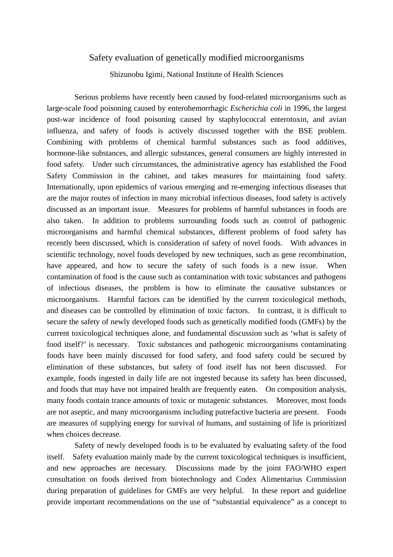## Safety evaluation of genetically modified microorganisms

Shizunobu Igimi, National Institute of Health Sciences

 Serious problems have recently been caused by food-related microorganisms such as large-scale food poisoning caused by enterohemorrhagic *Escherichia coli* in 1996, the largest post-war incidence of food poisoning caused by staphylococcal enterotoxin, and avian influenza, and safety of foods is actively discussed together with the BSE problem. Combining with problems of chemical harmful substances such as food additives, hormone-like substances, and allergic substances, general consumers are highly interested in food safety. Under such circumstances, the administrative agency has established the Food Safety Commission in the cabinet, and takes measures for maintaining food safety. Internationally, upon epidemics of various emerging and re-emerging infectious diseases that are the major routes of infection in many microbial infectious diseases, food safety is actively discussed as an important issue. Measures for problems of harmful substances in foods are also taken. In addition to problems surrounding foods such as control of pathogenic microorganisms and harmful chemical substances, different problems of food safety has recently been discussed, which is consideration of safety of novel foods. With advances in scientific technology, novel foods developed by new techniques, such as gene recombination, have appeared, and how to secure the safety of such foods is a new issue. When contamination of food is the cause such as contamination with toxic substances and pathogens of infectious diseases, the problem is how to eliminate the causative substances or microorganisms. Harmful factors can be identified by the current toxicological methods, and diseases can be controlled by elimination of toxic factors. In contrast, it is difficult to secure the safety of newly developed foods such as genetically modified foods (GMFs) by the current toxicological techniques alone, and fundamental discussion such as 'what is safety of food itself?' is necessary. Toxic substances and pathogenic microorganisms contaminating foods have been mainly discussed for food safety, and food safety could be secured by elimination of these substances, but safety of food itself has not been discussed. For example, foods ingested in daily life are not ingested because its safety has been discussed, and foods that may have not impaired health are frequently eaten. On composition analysis, many foods contain trance amounts of toxic or mutagenic substances. Moreover, most foods are not aseptic, and many microorganisms including putrefactive bacteria are present. Foods are measures of supplying energy for survival of humans, and sustaining of life is prioritized when choices decrease.

 Safety of newly developed foods is to be evaluated by evaluating safety of the food itself. Safety evaluation mainly made by the current toxicological techniques is insufficient, and new approaches are necessary. Discussions made by the joint FAO/WHO expert consultation on foods derived from biotechnology and Codex Alimentarius Commission during preparation of guidelines for GMFs are very helpful. In these report and guideline provide important recommendations on the use of "substantial equivalence" as a concept to